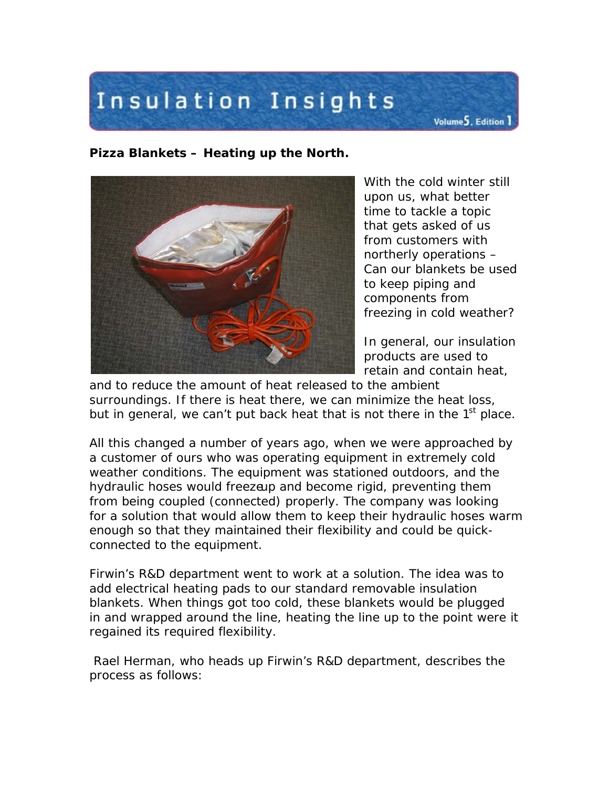## Insulation Insights

**Pizza Blankets – Heating up the North.**



With the cold winter still upon us, what better time to tackle a topic that gets asked of us from customers with northerly operations – Can our blankets be used to keep piping and components from freezing in cold weather?

Volume<sup>5</sup>, Edition<sup>1</sup>

In general, our insulation products are used to retain and contain heat,

and to reduce the amount of heat released to the ambient surroundings. If there is heat there, we can minimize the heat loss, but in general, we can't put back heat that is not there in the  $1<sup>st</sup>$  place.

All this changed a number of years ago, when we were approached by a customer of ours who was operating equipment in extremely cold weather conditions. The equipment was stationed outdoors, and the hydraulic hoses would freezeup and become rigid, preventing them from being coupled (connected) properly. The company was looking for a solution that would allow them to keep their hydraulic hoses warm enough so that they maintained their flexibility and could be quickconnected to the equipment.

Firwin's R&D department went to work at a solution. The idea was to add electrical heating pads to our standard removable insulation blankets. When things got too cold, these blankets would be plugged in and wrapped around the line, heating the line up to the point were it regained its required flexibility.

Rael Herman, who heads up Firwin's R&D department, describes the process as follows: